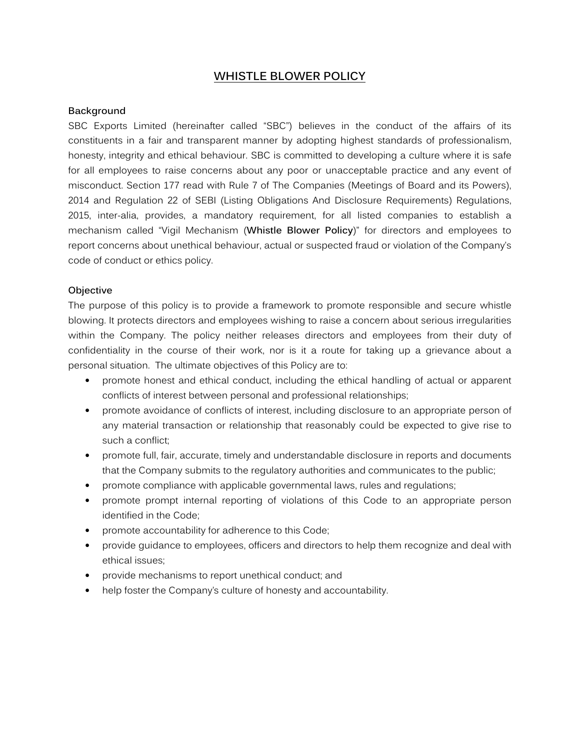# **WHISTLE BLOWER POLICY**

#### **Background**

SBC Exports Limited (hereinafter called "SBC") believes in the conduct of the affairs of its constituents in a fair and transparent manner by adopting highest standards of professionalism, honesty, integrity and ethical behaviour. SBC is committed to developing a culture where it is safe for all employees to raise concerns about any poor or unacceptable practice and any event of misconduct. Section 177 read with Rule 7 of The Companies (Meetings of Board and its Powers), 2014 and Regulation 22 of SEBI (Listing Obligations And Disclosure Requirements) Regulations, 2015, inter-alia, provides, a mandatory requirement, for all listed companies to establish a mechanism called "Vigil Mechanism (**Whistle Blower Policy**)" for directors and employees to report concerns about unethical behaviour, actual or suspected fraud or violation of the Company's code of conduct or ethics policy.

#### **Objective**

The purpose of this policy is to provide a framework to promote responsible and secure whistle blowing. It protects directors and employees wishing to raise a concern about serious irregularities within the Company. The policy neither releases directors and employees from their duty of confidentiality in the course of their work, nor is it a route for taking up a grievance about a personal situation. The ultimate objectives of this Policy are to:

- promote honest and ethical conduct, including the ethical handling of actual or apparent conflicts of interest between personal and professional relationships;
- promote avoidance of conflicts of interest, including disclosure to an appropriate person of any material transaction or relationship that reasonably could be expected to give rise to such a conflict;
- promote full, fair, accurate, timely and understandable disclosure in reports and documents that the Company submits to the regulatory authorities and communicates to the public;
- promote compliance with applicable governmental laws, rules and regulations;
- promote prompt internal reporting of violations of this Code to an appropriate person identified in the Code;
- promote accountability for adherence to this Code;
- provide guidance to employees, officers and directors to help them recognize and deal with ethical issues;
- provide mechanisms to report unethical conduct; and
- help foster the Company's culture of honesty and accountability.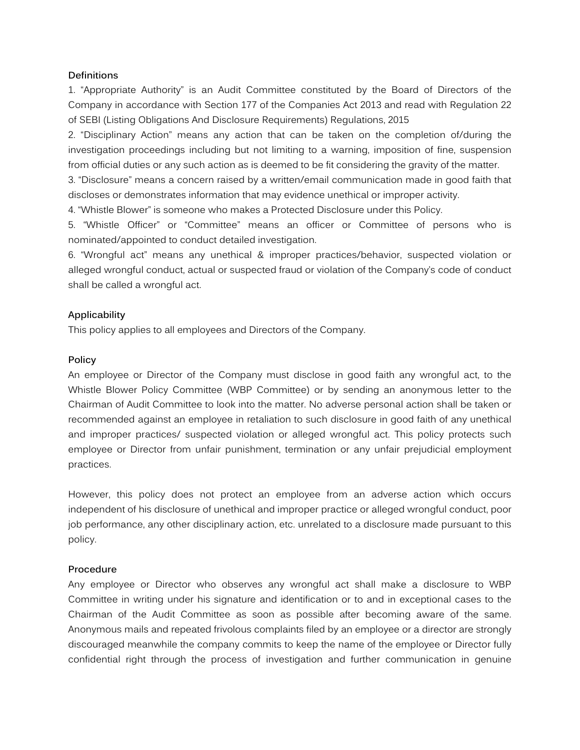#### **Definitions**

1. "Appropriate Authority" is an Audit Committee constituted by the Board of Directors of the Company in accordance with Section 177 of the Companies Act 2013 and read with Regulation 22 of SEBI (Listing Obligations And Disclosure Requirements) Regulations, 2015

2. "Disciplinary Action" means any action that can be taken on the completion of/during the investigation proceedings including but not limiting to a warning, imposition of fine, suspension from official duties or any such action as is deemed to be fit considering the gravity of the matter.

3. "Disclosure" means a concern raised by a written/email communication made in good faith that discloses or demonstrates information that may evidence unethical or improper activity.

4. "Whistle Blower" is someone who makes a Protected Disclosure under this Policy.

5. "Whistle Officer" or "Committee" means an officer or Committee of persons who is nominated/appointed to conduct detailed investigation.

6. "Wrongful act" means any unethical & improper practices/behavior, suspected violation or alleged wrongful conduct, actual or suspected fraud or violation of the Company's code of conduct shall be called a wrongful act.

## **Applicability**

This policy applies to all employees and Directors of the Company.

#### **Policy**

An employee or Director of the Company must disclose in good faith any wrongful act, to the Whistle Blower Policy Committee (WBP Committee) or by sending an anonymous letter to the Chairman of Audit Committee to look into the matter. No adverse personal action shall be taken or recommended against an employee in retaliation to such disclosure in good faith of any unethical and improper practices/ suspected violation or alleged wrongful act. This policy protects such employee or Director from unfair punishment, termination or any unfair prejudicial employment practices.

However, this policy does not protect an employee from an adverse action which occurs independent of his disclosure of unethical and improper practice or alleged wrongful conduct, poor job performance, any other disciplinary action, etc. unrelated to a disclosure made pursuant to this policy.

## **Procedure**

Any employee or Director who observes any wrongful act shall make a disclosure to WBP Committee in writing under his signature and identification or to and in exceptional cases to the Chairman of the Audit Committee as soon as possible after becoming aware of the same. Anonymous mails and repeated frivolous complaints filed by an employee or a director are strongly discouraged meanwhile the company commits to keep the name of the employee or Director fully confidential right through the process of investigation and further communication in genuine